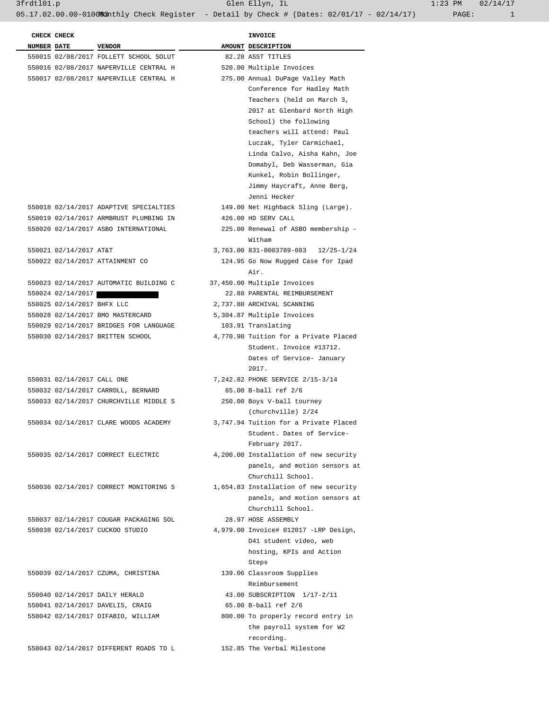3frdtl01.p Glen Ellyn, IL 1:23 PM 02/14/17

05.17.02.00.00-010083 Athly Check Register - Detail by Check # (Dates: 02/01/17 - 02/14/17) PAGE: 1

|  | CHECK CHECK                |                                        | <b>INVOICE</b>                        |
|--|----------------------------|----------------------------------------|---------------------------------------|
|  | <b>NUMBER DATE</b>         | <b>VENDOR</b>                          | AMOUNT DESCRIPTION                    |
|  |                            | 550015 02/08/2017 FOLLETT SCHOOL SOLUT | 82.28 ASST TITLES                     |
|  |                            | 550016 02/08/2017 NAPERVILLE CENTRAL H | 520.00 Multiple Invoices              |
|  |                            | 550017 02/08/2017 NAPERVILLE CENTRAL H | 275.00 Annual DuPage Valley Math      |
|  |                            |                                        | Conference for Hadley Math            |
|  |                            |                                        | Teachers (held on March 3,            |
|  |                            |                                        | 2017 at Glenbard North High           |
|  |                            |                                        | School) the following                 |
|  |                            |                                        | teachers will attend: Paul            |
|  |                            |                                        | Luczak, Tyler Carmichael,             |
|  |                            |                                        | Linda Calvo, Aisha Kahn, Joe          |
|  |                            |                                        | Domabyl, Deb Wasserman, Gia           |
|  |                            |                                        | Kunkel, Robin Bollinger,              |
|  |                            |                                        | Jimmy Haycraft, Anne Berg,            |
|  |                            |                                        | Jenni Hecker                          |
|  |                            | 550018 02/14/2017 ADAPTIVE SPECIALTIES | 149.00 Net Highback Sling (Large).    |
|  |                            | 550019 02/14/2017 ARMBRUST PLUMBING IN | 426.00 HD SERV CALL                   |
|  |                            |                                        |                                       |
|  |                            | 550020 02/14/2017 ASBO INTERNATIONAL   | 225.00 Renewal of ASBO membership -   |
|  |                            |                                        | Witham                                |
|  | 550021 02/14/2017 AT&T     |                                        | 3,763.00 831-0003789-083 12/25-1/24   |
|  |                            | 550022 02/14/2017 ATTAINMENT CO        | 124.95 Go Now Rugged Case for Ipad    |
|  |                            |                                        | Air.                                  |
|  |                            | 550023 02/14/2017 AUTOMATIC BUILDING C | 37,450.00 Multiple Invoices           |
|  |                            | 550024 02/14/2017                      | 22.88 PARENTAL REIMBURSEMENT          |
|  | 550025 02/14/2017 BHFX LLC |                                        | 2,737.80 ARCHIVAL SCANNING            |
|  |                            | 550028 02/14/2017 BMO MASTERCARD       | 5,304.87 Multiple Invoices            |
|  |                            | 550029 02/14/2017 BRIDGES FOR LANGUAGE | 103.91 Translating                    |
|  |                            | 550030 02/14/2017 BRITTEN SCHOOL       | 4,770.90 Tuition for a Private Placed |
|  |                            |                                        | Student. Invoice #13712.              |
|  |                            |                                        | Dates of Service- January             |
|  |                            |                                        | 2017.                                 |
|  | 550031 02/14/2017 CALL ONE |                                        | 7,242.82 PHONE SERVICE 2/15-3/14      |
|  |                            | 550032 02/14/2017 CARROLL, BERNARD     | 65.00 B-ball ref 2/6                  |
|  |                            | 550033 02/14/2017 CHURCHVILLE MIDDLE S | 250.00 Boys V-ball tourney            |
|  |                            |                                        | (churchville) 2/24                    |
|  |                            | 550034 02/14/2017 CLARE WOODS ACADEMY  | 3,747.94 Tuition for a Private Placed |
|  |                            |                                        | Student. Dates of Service-            |
|  |                            |                                        | February 2017.                        |
|  |                            |                                        | 4,200.00 Installation of new security |
|  |                            | 550035 02/14/2017 CORRECT ELECTRIC     |                                       |
|  |                            |                                        | panels, and motion sensors at         |
|  |                            |                                        | Churchill School.                     |
|  |                            | 550036 02/14/2017 CORRECT MONITORING S | 1,654.83 Installation of new security |
|  |                            |                                        | panels, and motion sensors at         |
|  |                            |                                        | Churchill School.                     |
|  |                            | 550037 02/14/2017 COUGAR PACKAGING SOL | 28.97 HOSE ASSEMBLY                   |
|  |                            | 550038 02/14/2017 CUCKOO STUDIO        | 4,979.00 Invoice# 012017 -LRP Design, |
|  |                            |                                        | D41 student video, web                |
|  |                            |                                        | hosting, KPIs and Action              |
|  |                            |                                        | Steps                                 |
|  |                            | 550039 02/14/2017 CZUMA, CHRISTINA     | 139.06 Classroom Supplies             |
|  |                            |                                        | Reimbursement                         |
|  |                            | 550040 02/14/2017 DAILY HERALD         | 43.00 SUBSCRIPTION 1/17-2/11          |
|  |                            | 550041 02/14/2017 DAVELIS, CRAIG       | 65.00 B-ball ref 2/6                  |
|  |                            | 550042 02/14/2017 DIFABIO, WILLIAM     | 800.00 To properly record entry in    |
|  |                            |                                        | the payroll system for W2             |
|  |                            |                                        | recording.                            |
|  |                            | 550043 02/14/2017 DIFFERENT ROADS TO L | 152.85 The Verbal Milestone           |
|  |                            |                                        |                                       |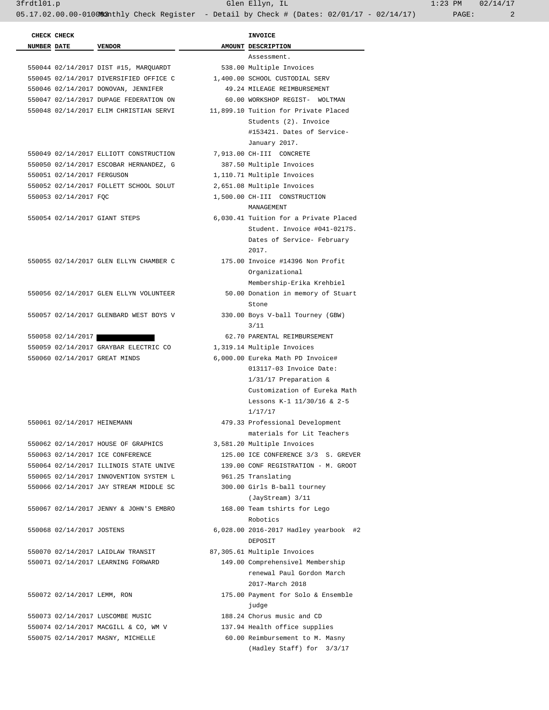|                    | CHECK CHECK                 |                                        | <b>INVOICE</b>                                                    |
|--------------------|-----------------------------|----------------------------------------|-------------------------------------------------------------------|
| <b>NUMBER DATE</b> |                             | VENDOR                                 | AMOUNT DESCRIPTION                                                |
|                    |                             |                                        | Assessment.                                                       |
|                    |                             | 550044 02/14/2017 DIST #15, MARQUARDT  | 538.00 Multiple Invoices                                          |
|                    |                             | 550045 02/14/2017 DIVERSIFIED OFFICE C | 1,400.00 SCHOOL CUSTODIAL SERV                                    |
|                    |                             | 550046 02/14/2017 DONOVAN, JENNIFER    | 49.24 MILEAGE REIMBURSEMENT                                       |
|                    |                             | 550047 02/14/2017 DUPAGE FEDERATION ON | 60.00 WORKSHOP REGIST- WOLTMAN                                    |
|                    |                             | 550048 02/14/2017 ELIM CHRISTIAN SERVI | 11,899.10 Tuition for Private Placed                              |
|                    |                             |                                        | Students (2). Invoice                                             |
|                    |                             |                                        | #153421. Dates of Service-                                        |
|                    |                             |                                        | January 2017.                                                     |
|                    |                             | 550049 02/14/2017 ELLIOTT CONSTRUCTION | 7,913.00 CH-III CONCRETE                                          |
|                    |                             | 550050 02/14/2017 ESCOBAR HERNANDEZ, G | 387.50 Multiple Invoices                                          |
|                    | 550051 02/14/2017 FERGUSON  |                                        | 1,110.71 Multiple Invoices                                        |
|                    |                             | 550052 02/14/2017 FOLLETT SCHOOL SOLUT | 2,651.08 Multiple Invoices                                        |
|                    | 550053 02/14/2017 FQC       |                                        | 1,500.00 CH-III CONSTRUCTION                                      |
|                    |                             |                                        | MANAGEMENT                                                        |
|                    |                             | 550054 02/14/2017 GIANT STEPS          | 6,030.41 Tuition for a Private Placed                             |
|                    |                             |                                        | Student. Invoice #041-0217S.                                      |
|                    |                             |                                        | Dates of Service- February                                        |
|                    |                             |                                        | 2017.                                                             |
|                    |                             | 550055 02/14/2017 GLEN ELLYN CHAMBER C | 175.00 Invoice #14396 Non Profit                                  |
|                    |                             |                                        | Organizational                                                    |
|                    |                             |                                        | Membership-Erika Krehbiel                                         |
|                    |                             | 550056 02/14/2017 GLEN ELLYN VOLUNTEER | 50.00 Donation in memory of Stuart                                |
|                    |                             |                                        | Stone                                                             |
|                    |                             | 550057 02/14/2017 GLENBARD WEST BOYS V | 330.00 Boys V-ball Tourney (GBW)                                  |
|                    |                             |                                        | 3/11                                                              |
|                    | 550058 02/14/2017           |                                        | 62.70 PARENTAL REIMBURSEMENT                                      |
|                    |                             | 550059 02/14/2017 GRAYBAR ELECTRIC CO  | 1,319.14 Multiple Invoices                                        |
|                    |                             | 550060 02/14/2017 GREAT MINDS          | 6,000.00 Eureka Math PD Invoice#                                  |
|                    |                             |                                        | 013117-03 Invoice Date:                                           |
|                    |                             |                                        | $1/31/17$ Preparation &                                           |
|                    |                             |                                        | Customization of Eureka Math                                      |
|                    |                             |                                        | Lessons K-1 11/30/16 & 2-5                                        |
|                    |                             |                                        | 1/17/17                                                           |
|                    | 550061 02/14/2017 HEINEMANN |                                        | 479.33 Professional Development                                   |
|                    |                             |                                        |                                                                   |
|                    |                             |                                        | materials for Lit Teachers                                        |
|                    |                             | 550062 02/14/2017 HOUSE OF GRAPHICS    | 3,581.20 Multiple Invoices<br>125.00 ICE CONFERENCE 3/3 S. GREVER |
|                    |                             | 550063 02/14/2017 ICE CONFERENCE       | 139.00 CONF REGISTRATION - M. GROOT                               |
|                    |                             | 550064 02/14/2017 ILLINOIS STATE UNIVE |                                                                   |
|                    |                             | 550065 02/14/2017 INNOVENTION SYSTEM L | 961.25 Translating                                                |
|                    |                             | 550066 02/14/2017 JAY STREAM MIDDLE SC | 300.00 Girls B-ball tourney                                       |
|                    |                             |                                        | (JayStream) 3/11                                                  |
|                    |                             | 550067 02/14/2017 JENNY & JOHN'S EMBRO | 168.00 Team tshirts for Lego                                      |
|                    |                             |                                        | Robotics                                                          |
|                    | 550068 02/14/2017 JOSTENS   |                                        | 6,028.00 2016-2017 Hadley yearbook #2                             |
|                    |                             |                                        | DEPOSIT                                                           |
|                    |                             | 550070 02/14/2017 LAIDLAW TRANSIT      | 87,305.61 Multiple Invoices                                       |
|                    |                             | 550071 02/14/2017 LEARNING FORWARD     | 149.00 Comprehensivel Membership                                  |
|                    |                             |                                        | renewal Paul Gordon March                                         |
|                    |                             |                                        | 2017-March 2018                                                   |
|                    | 550072 02/14/2017 LEMM, RON |                                        | 175.00 Payment for Solo & Ensemble                                |
|                    |                             |                                        | judge                                                             |
|                    |                             | 550073 02/14/2017 LUSCOMBE MUSIC       | 188.24 Chorus music and CD                                        |
|                    |                             | 550074 02/14/2017 MACGILL & CO, WM V   | 137.94 Health office supplies                                     |
|                    |                             | 550075 02/14/2017 MASNY, MICHELLE      | 60.00 Reimbursement to M. Masny                                   |
|                    |                             |                                        | (Hadley Staff) for 3/3/17                                         |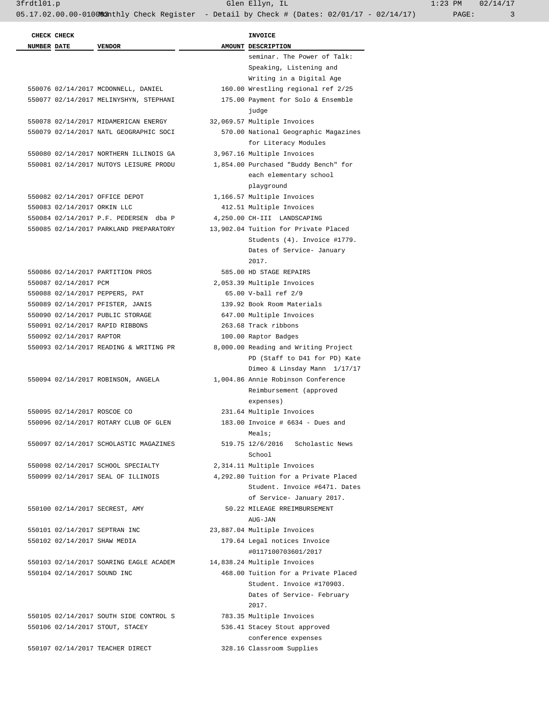|                    | CHECK CHECK                 |                                        | INVOICE                               |
|--------------------|-----------------------------|----------------------------------------|---------------------------------------|
| <b>NUMBER DATE</b> |                             | <b>VENDOR</b>                          | AMOUNT DESCRIPTION                    |
|                    |                             |                                        | seminar. The Power of Talk:           |
|                    |                             |                                        | Speaking, Listening and               |
|                    |                             |                                        | Writing in a Digital Age              |
|                    |                             | 550076 02/14/2017 MCDONNELL, DANIEL    | 160.00 Wrestling regional ref 2/25    |
|                    |                             | 550077 02/14/2017 MELINYSHYN, STEPHANI | 175.00 Payment for Solo & Ensemble    |
|                    |                             |                                        | judge                                 |
|                    |                             | 550078 02/14/2017 MIDAMERICAN ENERGY   | 32,069.57 Multiple Invoices           |
|                    |                             | 550079 02/14/2017 NATL GEOGRAPHIC SOCI | 570.00 National Geographic Magazines  |
|                    |                             |                                        | for Literacy Modules                  |
|                    |                             | 550080 02/14/2017 NORTHERN ILLINOIS GA | 3,967.16 Multiple Invoices            |
|                    |                             | 550081 02/14/2017 NUTOYS LEISURE PRODU | 1,854.00 Purchased "Buddy Bench" for  |
|                    |                             |                                        | each elementary school                |
|                    |                             |                                        | playground                            |
|                    |                             | 550082 02/14/2017 OFFICE DEPOT         | 1,166.57 Multiple Invoices            |
|                    | 550083 02/14/2017 ORKIN LLC |                                        | 412.51 Multiple Invoices              |
|                    |                             | 550084 02/14/2017 P.F. PEDERSEN dba P  | 4,250.00 CH-III LANDSCAPING           |
|                    |                             | 550085 02/14/2017 PARKLAND PREPARATORY | 13,902.04 Tuition for Private Placed  |
|                    |                             |                                        | Students (4). Invoice #1779.          |
|                    |                             |                                        |                                       |
|                    |                             |                                        | Dates of Service- January             |
|                    |                             |                                        | 2017.                                 |
|                    |                             | 550086 02/14/2017 PARTITION PROS       | 585.00 HD STAGE REPAIRS               |
|                    | 550087 02/14/2017 PCM       |                                        | 2,053.39 Multiple Invoices            |
|                    |                             | 550088 02/14/2017 PEPPERS, PAT         | 65.00 V-ball ref 2/9                  |
|                    |                             | 550089 02/14/2017 PFISTER, JANIS       | 139.92 Book Room Materials            |
|                    |                             | 550090 02/14/2017 PUBLIC STORAGE       | 647.00 Multiple Invoices              |
|                    |                             | 550091 02/14/2017 RAPID RIBBONS        | 263.68 Track ribbons                  |
|                    | 550092 02/14/2017 RAPTOR    |                                        | 100.00 Raptor Badges                  |
|                    |                             | 550093 02/14/2017 READING & WRITING PR | 8,000.00 Reading and Writing Project  |
|                    |                             |                                        | PD (Staff to D41 for PD) Kate         |
|                    |                             |                                        | Dimeo & Linsday Mann 1/17/17          |
|                    |                             | 550094 02/14/2017 ROBINSON, ANGELA     | 1,004.86 Annie Robinson Conference    |
|                    |                             |                                        | Reimbursement (approved               |
|                    |                             |                                        | expenses)                             |
|                    | 550095 02/14/2017 ROSCOE CO |                                        | 231.64 Multiple Invoices              |
|                    |                             | 550096 02/14/2017 ROTARY CLUB OF GLEN  | $183.00$ Invoice # 6634 - Dues and    |
|                    |                             |                                        | Meals;                                |
|                    |                             | 550097 02/14/2017 SCHOLASTIC MAGAZINES | 519.75 12/6/2016 Scholastic News      |
|                    |                             |                                        | School                                |
|                    |                             | 550098 02/14/2017 SCHOOL SPECIALTY     | 2,314.11 Multiple Invoices            |
|                    |                             | 550099 02/14/2017 SEAL OF ILLINOIS     | 4,292.80 Tuition for a Private Placed |
|                    |                             |                                        | Student. Invoice #6471. Dates         |
|                    |                             |                                        | of Service- January 2017.             |
|                    |                             | 550100 02/14/2017 SECREST, AMY         | 50.22 MILEAGE RREIMBURSEMENT          |
|                    |                             |                                        | AUG-JAN                               |
|                    |                             | 550101 02/14/2017 SEPTRAN INC          | 23,887.04 Multiple Invoices           |
|                    |                             | 550102 02/14/2017 SHAW MEDIA           | 179.64 Legal notices Invoice          |
|                    |                             |                                        | #0117100703601/2017                   |
|                    |                             | 550103 02/14/2017 SOARING EAGLE ACADEM | 14,838.24 Multiple Invoices           |
|                    | 550104 02/14/2017 SOUND INC |                                        | 468.00 Tuition for a Private Placed   |
|                    |                             |                                        | Student. Invoice #170903.             |
|                    |                             |                                        | Dates of Service- February            |
|                    |                             |                                        | 2017.                                 |
|                    |                             | 550105 02/14/2017 SOUTH SIDE CONTROL S | 783.35 Multiple Invoices              |
|                    |                             | 550106 02/14/2017 STOUT, STACEY        | 536.41 Stacey Stout approved          |
|                    |                             |                                        | conference expenses                   |
|                    |                             |                                        |                                       |

550107 02/14/2017 TEACHER DIRECT 328.16 Classroom Supplies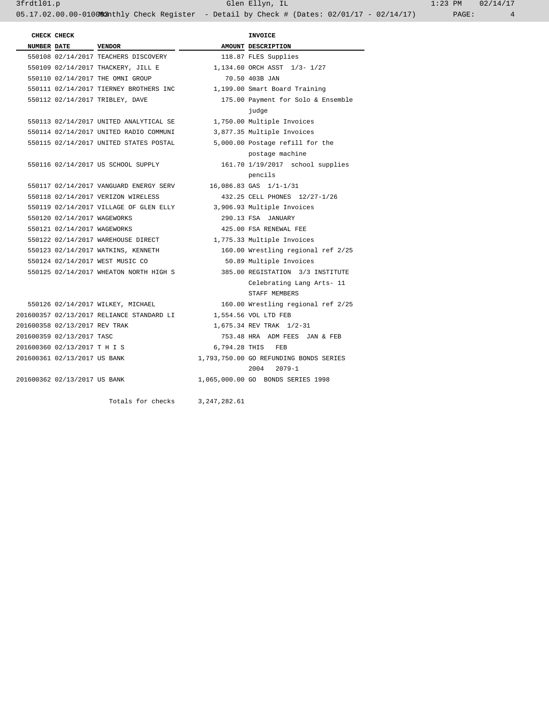3frdtl01.p Glen Ellyn, IL 1:23 PM 02/14/17 05.17.02.00.00-010083nthly Check Register - Detail by Check # (Dates: 02/01/17 - 02/14/17) PAGE: 4

| CHECK CHECK                   |                                           |                | <b>INVOICE</b>                         |
|-------------------------------|-------------------------------------------|----------------|----------------------------------------|
| <b>NUMBER DATE</b>            | <b>VENDOR</b>                             |                | AMOUNT DESCRIPTION                     |
|                               | 550108 02/14/2017 TEACHERS DISCOVERY      |                | 118.87 FLES Supplies                   |
|                               | 550109 02/14/2017 THACKERY, JILL E        |                | 1,134.60 ORCH ASST 1/3-1/27            |
|                               | 550110 02/14/2017 THE OMNI GROUP          |                | 70.50 403B JAN                         |
|                               | 550111 02/14/2017 TIERNEY BROTHERS INC    |                | 1,199.00 Smart Board Training          |
|                               | 550112 02/14/2017 TRIBLEY, DAVE           |                | 175.00 Payment for Solo & Ensemble     |
|                               |                                           |                | judge                                  |
|                               | 550113 02/14/2017 UNITED ANALYTICAL SE    |                | 1,750.00 Multiple Invoices             |
|                               | 550114 02/14/2017 UNITED RADIO COMMUNI    |                | 3,877.35 Multiple Invoices             |
|                               | 550115 02/14/2017 UNITED STATES POSTAL    |                | 5,000.00 Postage refill for the        |
|                               |                                           |                | postage machine                        |
|                               | 550116 02/14/2017 US SCHOOL SUPPLY        |                | 161.70 1/19/2017 school supplies       |
|                               |                                           |                | pencils                                |
|                               | 550117 02/14/2017 VANGUARD ENERGY SERV    |                | 16,086.83 GAS 1/1-1/31                 |
|                               | 550118 02/14/2017 VERIZON WIRELESS        |                | 432.25 CELL PHONES 12/27-1/26          |
|                               | 550119 02/14/2017 VILLAGE OF GLEN ELLY    |                | 3,906.93 Multiple Invoices             |
| 550120 02/14/2017 WAGEWORKS   |                                           |                | 290.13 FSA JANUARY                     |
| 550121 02/14/2017 WAGEWORKS   |                                           |                | 425.00 FSA RENEWAL FEE                 |
|                               | 550122 02/14/2017 WAREHOUSE DIRECT        |                | 1,775.33 Multiple Invoices             |
|                               | 550123 02/14/2017 WATKINS, KENNETH        |                | 160.00 Wrestling regional ref 2/25     |
|                               | 550124 02/14/2017 WEST MUSIC CO           |                | 50.89 Multiple Invoices                |
|                               | 550125 02/14/2017 WHEATON NORTH HIGH S    |                | 385.00 REGISTATION 3/3 INSTITUTE       |
|                               |                                           |                | Celebrating Lang Arts- 11              |
|                               |                                           |                | STAFF MEMBERS                          |
|                               | 550126 02/14/2017 WILKEY, MICHAEL         |                | 160.00 Wrestling regional ref 2/25     |
|                               | 201600357 02/13/2017 RELIANCE STANDARD LI |                | 1,554.56 VOL LTD FEB                   |
| 201600358 02/13/2017 REV TRAK |                                           |                | 1,675.34 REV TRAK 1/2-31               |
| 201600359 02/13/2017 TASC     |                                           |                | 753.48 HRA ADM FEES JAN & FEB          |
| 201600360 02/13/2017 T H I S  |                                           | 6,794.28 THIS  | FEB                                    |
| 201600361 02/13/2017 US BANK  |                                           |                | 1,793,750.00 GO REFUNDING BONDS SERIES |
|                               |                                           |                | 2004<br>$2079 - 1$                     |
| 201600362 02/13/2017 US BANK  |                                           |                | 1,065,000.00 GO BONDS SERIES 1998      |
|                               | Totals for checks                         | 3, 247, 282.61 |                                        |